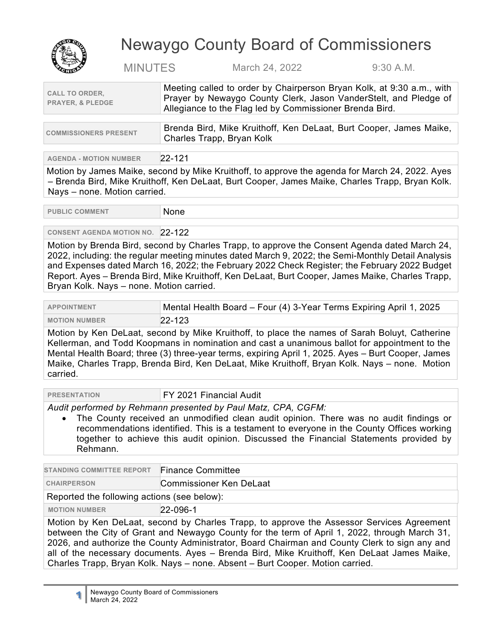

# Newaygo County Board of Commissioners

MINUTES March 24, 2022 9:30 A.M.

| Meeting called to order by Chairperson Bryan Kolk, at 9:30 a.m., with<br>Frayer by Newaygo County Clerk, Jason VanderStelt, and Pledge of<br>Allegiance to the Flag led by Commissioner Brenda Bird. |
|------------------------------------------------------------------------------------------------------------------------------------------------------------------------------------------------------|
|                                                                                                                                                                                                      |
|                                                                                                                                                                                                      |

| <b>COMMISSIONERS PRESENT</b> | ∆ Brenda Bird, Mike Kruithoff, Ken DeLaat, Burt Cooper, James Maike, |
|------------------------------|----------------------------------------------------------------------|
|                              | Charles Trapp, Bryan Kolk                                            |

**AGENDA - MOTION NUMBER** 22-121

Motion by James Maike, second by Mike Kruithoff, to approve the agenda for March 24, 2022. Ayes – Brenda Bird, Mike Kruithoff, Ken DeLaat, Burt Cooper, James Maike, Charles Trapp, Bryan Kolk. Nays – none. Motion carried.

PUBLIC COMMENT None

# **CONSENT AGENDA MOTION NO. 22-122**

Motion by Brenda Bird, second by Charles Trapp, to approve the Consent Agenda dated March 24, 2022, including: the regular meeting minutes dated March 9, 2022; the Semi-Monthly Detail Analysis and Expenses dated March 16, 2022; the February 2022 Check Register; the February 2022 Budget Report. Ayes – Brenda Bird, Mike Kruithoff, Ken DeLaat, Burt Cooper, James Maike, Charles Trapp, Bryan Kolk. Nays – none. Motion carried.

| <b>APPOINTMENT</b>   | Mental Health Board - Four (4) 3-Year Terms Expiring April 1, 2025 |
|----------------------|--------------------------------------------------------------------|
| <b>MOTION NUMBER</b> | $22 - 123$                                                         |

Motion by Ken DeLaat, second by Mike Kruithoff, to place the names of Sarah Boluyt, Catherine Kellerman, and Todd Koopmans in nomination and cast a unanimous ballot for appointment to the Mental Health Board; three (3) three-year terms, expiring April 1, 2025. Ayes – Burt Cooper, James Maike, Charles Trapp, Brenda Bird, Ken DeLaat, Mike Kruithoff, Bryan Kolk. Nays – none. Motion carried.

| <b>PRESENTATION</b> |  |
|---------------------|--|
|                     |  |

#### **FY 2021 Financial Audit**

*Audit performed by Rehmann presented by Paul Matz, CPA, CGFM:*

The County received an unmodified clean audit opinion. There was no audit findings or recommendations identified. This is a testament to everyone in the County Offices working together to achieve this audit opinion. Discussed the Financial Statements provided by Rehmann.

| <b>STANDING COMMITTEE REPORT</b>                                                                                                                                                           | <b>Finance Committee</b> |
|--------------------------------------------------------------------------------------------------------------------------------------------------------------------------------------------|--------------------------|
| <b>CHAIRPERSON</b>                                                                                                                                                                         | Commissioner Ken DeLaat  |
| Reported the following actions (see below):                                                                                                                                                |                          |
| <b>MOTION NUMBER</b>                                                                                                                                                                       | $22 - 096 - 1$           |
| Motion by Ken DeLaat, second by Charles Trapp, to approve the Assessor Services Agreement<br>between the City of Grant and Newaygo County for the term of April 1, 2022, through March 31, |                          |

2026, and authorize the County Administrator, Board Chairman and County Clerk to sign any and all of the necessary documents. Ayes – Brenda Bird, Mike Kruithoff, Ken DeLaat James Maike, Charles Trapp, Bryan Kolk. Nays – none. Absent – Burt Cooper. Motion carried.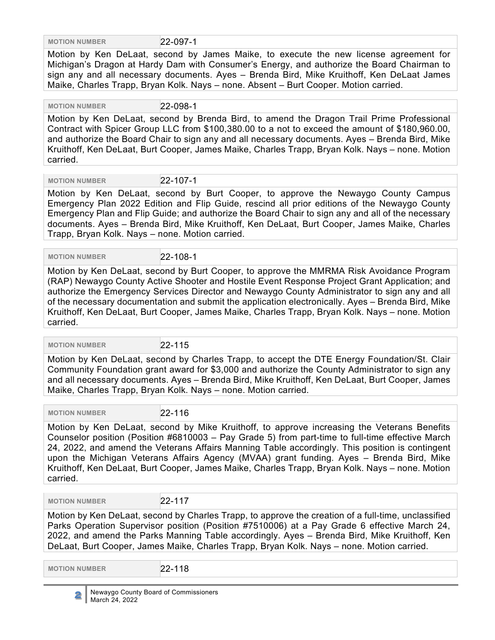**MOTION NUMBER** 22-097-1

Motion by Ken DeLaat, second by James Maike, to execute the new license agreement for Michigan's Dragon at Hardy Dam with Consumer's Energy, and authorize the Board Chairman to sign any and all necessary documents. Ayes – Brenda Bird, Mike Kruithoff, Ken DeLaat James Maike, Charles Trapp, Bryan Kolk. Nays – none. Absent – Burt Cooper. Motion carried.

 **MOTION NUMBER** 22-098-1 Motion by Ken DeLaat, second by Brenda Bird, to amend the Dragon Trail Prime Professional Contract with Spicer Group LLC from \$100,380.00 to a not to exceed the amount of \$180,960.00, and authorize the Board Chair to sign any and all necessary documents. Ayes – Brenda Bird, Mike Kruithoff, Ken DeLaat, Burt Cooper, James Maike, Charles Trapp, Bryan Kolk. Nays – none. Motion carried.

**MOTION NUMBER** 22-107-1

Motion by Ken DeLaat, second by Burt Cooper, to approve the Newaygo County Campus Emergency Plan 2022 Edition and Flip Guide, rescind all prior editions of the Newaygo County Emergency Plan and Flip Guide; and authorize the Board Chair to sign any and all of the necessary documents. Ayes – Brenda Bird, Mike Kruithoff, Ken DeLaat, Burt Cooper, James Maike, Charles Trapp, Bryan Kolk. Nays – none. Motion carried.

 **MOTION NUMBER** 22-108-1

Motion by Ken DeLaat, second by Burt Cooper, to approve the MMRMA Risk Avoidance Program (RAP) Newaygo County Active Shooter and Hostile Event Response Project Grant Application; and authorize the Emergency Services Director and Newaygo County Administrator to sign any and all of the necessary documentation and submit the application electronically. Ayes – Brenda Bird, Mike Kruithoff, Ken DeLaat, Burt Cooper, James Maike, Charles Trapp, Bryan Kolk. Nays – none. Motion carried.

 **MOTION NUMBER** 22-115

Motion by Ken DeLaat, second by Charles Trapp, to accept the DTE Energy Foundation/St. Clair Community Foundation grant award for \$3,000 and authorize the County Administrator to sign any and all necessary documents. Ayes – Brenda Bird, Mike Kruithoff, Ken DeLaat, Burt Cooper, James Maike, Charles Trapp, Bryan Kolk. Nays – none. Motion carried.

 **MOTION NUMBER** 22-116

Motion by Ken DeLaat, second by Mike Kruithoff, to approve increasing the Veterans Benefits Counselor position (Position #6810003 – Pay Grade 5) from part-time to full-time effective March 24, 2022, and amend the Veterans Affairs Manning Table accordingly. This position is contingent upon the Michigan Veterans Affairs Agency (MVAA) grant funding. Ayes – Brenda Bird, Mike Kruithoff, Ken DeLaat, Burt Cooper, James Maike, Charles Trapp, Bryan Kolk. Nays – none. Motion carried.

 **MOTION NUMBER** 22-117

Motion by Ken DeLaat, second by Charles Trapp, to approve the creation of a full-time, unclassified Parks Operation Supervisor position (Position #7510006) at a Pay Grade 6 effective March 24, 2022, and amend the Parks Manning Table accordingly. Ayes – Brenda Bird, Mike Kruithoff, Ken DeLaat, Burt Cooper, James Maike, Charles Trapp, Bryan Kolk. Nays – none. Motion carried.

 **MOTION NUMBER** 22-118

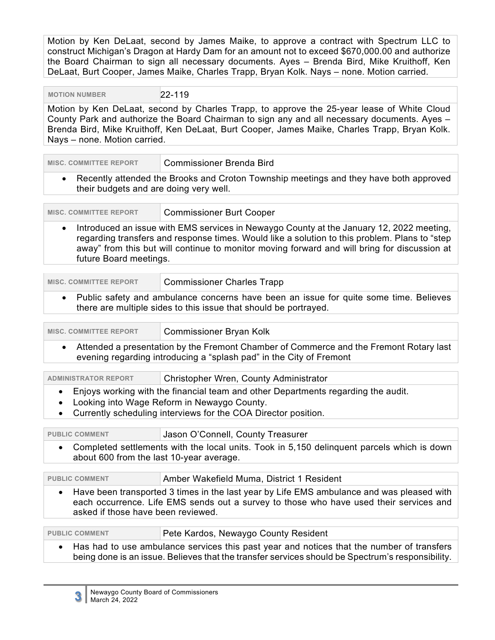Motion by Ken DeLaat, second by James Maike, to approve a contract with Spectrum LLC to construct Michigan's Dragon at Hardy Dam for an amount not to exceed \$670,000.00 and authorize the Board Chairman to sign all necessary documents. Ayes – Brenda Bird, Mike Kruithoff, Ken DeLaat, Burt Cooper, James Maike, Charles Trapp, Bryan Kolk. Nays – none. Motion carried.

**MOTION NUMBER** 22-119

Motion by Ken DeLaat, second by Charles Trapp, to approve the 25-year lease of White Cloud County Park and authorize the Board Chairman to sign any and all necessary documents. Ayes – Brenda Bird, Mike Kruithoff, Ken DeLaat, Burt Cooper, James Maike, Charles Trapp, Bryan Kolk. Nays – none. Motion carried.

| <b>MISC. COMMITTEE REPORT</b>                                                                                                                | Commissioner Brenda Bird                                                                                                                                                                                                                                                                  |
|----------------------------------------------------------------------------------------------------------------------------------------------|-------------------------------------------------------------------------------------------------------------------------------------------------------------------------------------------------------------------------------------------------------------------------------------------|
| Recently attended the Brooks and Croton Township meetings and they have both approved<br>$\bullet$<br>their budgets and are doing very well. |                                                                                                                                                                                                                                                                                           |
| <b>MISC. COMMITTEE REPORT</b>                                                                                                                | <b>Commissioner Burt Cooper</b>                                                                                                                                                                                                                                                           |
| $\bullet$<br>future Board meetings.                                                                                                          | Introduced an issue with EMS services in Newaygo County at the January 12, 2022 meeting,<br>regarding transfers and response times. Would like a solution to this problem. Plans to "step<br>away" from this but will continue to monitor moving forward and will bring for discussion at |
| <b>MISC. COMMITTEE REPORT</b>                                                                                                                | <b>Commissioner Charles Trapp</b>                                                                                                                                                                                                                                                         |
| $\bullet$                                                                                                                                    | Public safety and ambulance concerns have been an issue for quite some time. Believes<br>there are multiple sides to this issue that should be portrayed.                                                                                                                                 |
| <b>MISC. COMMITTEE REPORT</b>                                                                                                                | <b>Commissioner Bryan Kolk</b>                                                                                                                                                                                                                                                            |
|                                                                                                                                              | Attended a presentation by the Frement Chamber of Commerce and the Frement Potary last                                                                                                                                                                                                    |

• Attended a presentation by the Fremont Chamber of Commerce and the Fremont Rotary last evening regarding introducing a "splash pad" in the City of Fremont

| <b>ADMINISTRATOR REPORT</b> | Christopher Wren, County Administrator                                            |  |
|-----------------------------|-----------------------------------------------------------------------------------|--|
|                             | Enjoys working with the financial team and other Departments regarding the audit. |  |

- Looking into Wage Reform in Newaygo County.
- Currently scheduling interviews for the COA Director position.

PUBLIC COMMENT **Jason O'Connell, County Treasurer** 

• Completed settlements with the local units. Took in 5,150 delinquent parcels which is down about 600 from the last 10-year average.

| Amber Wakefield Muma, District 1 Resident<br><b>PUBLIC COMMENT</b> |  |
|--------------------------------------------------------------------|--|
|--------------------------------------------------------------------|--|

• Have been transported 3 times in the last year by Life EMS ambulance and was pleased with each occurrence. Life EMS sends out a survey to those who have used their services and asked if those have been reviewed.

| <b>PUBLIC COMMENT</b> | Pete Kardos, Newaygo County Resident                                                             |
|-----------------------|--------------------------------------------------------------------------------------------------|
|                       | • Has had to use ambulance services this past year and notices that the number of transfers      |
|                       | being done is an issue. Believes that the transfer services should be Spectrum's responsibility. |